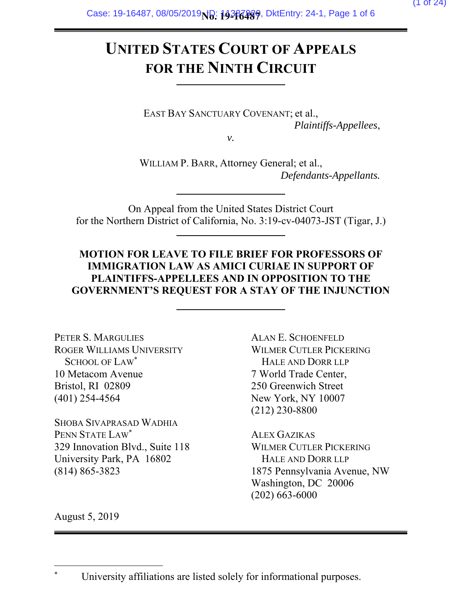# **UNITED STATES COURT OF APPEALS FOR THE NINTH CIRCUIT**

EAST BAY SANCTUARY COVENANT; et al., *Plaintiffs-Appellees*,

*v.* 

WILLIAM P. BARR, Attorney General; et al., *Defendants-Appellants.* 

On Appeal from the United States District Court for the Northern District of California, No. 3:19-cv-04073-JST (Tigar, J.)

### **MOTION FOR LEAVE TO FILE BRIEF FOR PROFESSORS OF IMMIGRATION LAW AS AMICI CURIAE IN SUPPORT OF PLAINTIFFS-APPELLEES AND IN OPPOSITION TO THE GOVERNMENT'S REQUEST FOR A STAY OF THE INJUNCTION**

PETER S. MARGULIES ROGER WILLIAMS UNIVERSITY SCHOOL OF LAW<sup>\*</sup> 10 Metacom Avenue Bristol, RI 02809 (401) 254-4564

SHOBA SIVAPRASAD WADHIA PENN STATE LAW\* 329 Innovation Blvd., Suite 118 University Park, PA 16802 (814) 865-3823

ALAN E. SCHOENFELD WILMER CUTLER PICKERING HALE AND DORR LLP 7 World Trade Center, 250 Greenwich Street New York, NY 10007 (212) 230-8800

ALEX GAZIKAS WILMER CUTLER PICKERING HALE AND DORR LLP 1875 Pennsylvania Avenue, NW Washington, DC 20006 (202) 663-6000

August 5, 2019

l

<sup>\*</sup> University affiliations are listed solely for informational purposes.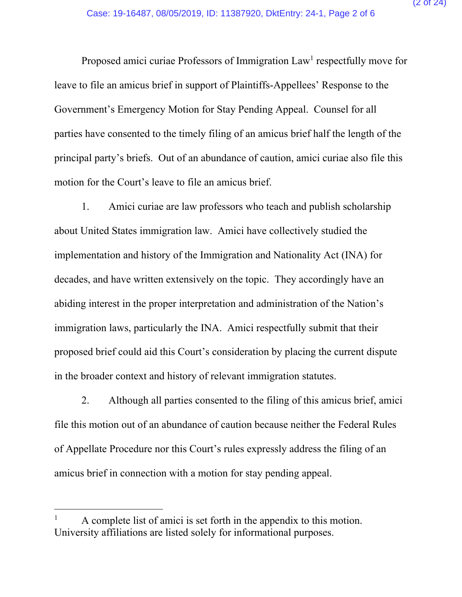Proposed amici curiae Professors of Immigration Law<sup>1</sup> respectfully move for leave to file an amicus brief in support of Plaintiffs-Appellees' Response to the Government's Emergency Motion for Stay Pending Appeal. Counsel for all parties have consented to the timely filing of an amicus brief half the length of the principal party's briefs. Out of an abundance of caution, amici curiae also file this motion for the Court's leave to file an amicus brief.

1. Amici curiae are law professors who teach and publish scholarship about United States immigration law. Amici have collectively studied the implementation and history of the Immigration and Nationality Act (INA) for decades, and have written extensively on the topic. They accordingly have an abiding interest in the proper interpretation and administration of the Nation's immigration laws, particularly the INA. Amici respectfully submit that their proposed brief could aid this Court's consideration by placing the current dispute in the broader context and history of relevant immigration statutes.

2. Although all parties consented to the filing of this amicus brief, amici file this motion out of an abundance of caution because neither the Federal Rules of Appellate Procedure nor this Court's rules expressly address the filing of an amicus brief in connection with a motion for stay pending appeal.

<sup>1</sup> A complete list of amici is set forth in the appendix to this motion. University affiliations are listed solely for informational purposes.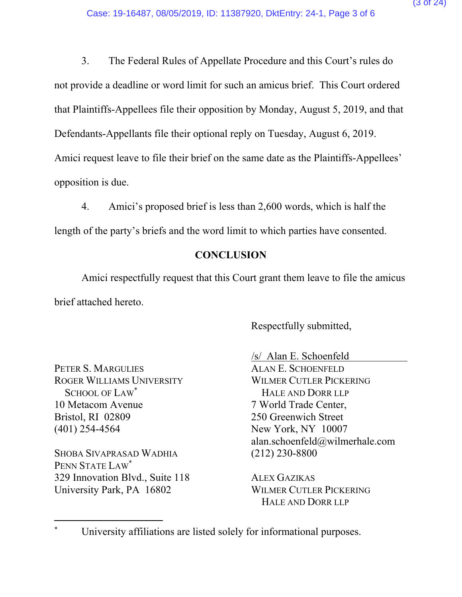3. The Federal Rules of Appellate Procedure and this Court's rules do not provide a deadline or word limit for such an amicus brief. This Court ordered that Plaintiffs-Appellees file their opposition by Monday, August 5, 2019, and that Defendants-Appellants file their optional reply on Tuesday, August 6, 2019. Amici request leave to file their brief on the same date as the Plaintiffs-Appellees' opposition is due.

4. Amici's proposed brief is less than 2,600 words, which is half the length of the party's briefs and the word limit to which parties have consented.

### **CONCLUSION**

Amici respectfully request that this Court grant them leave to file the amicus brief attached hereto.

Respectfully submitted,

PETER S. MARGULIES ROGER WILLIAMS UNIVERSITY SCHOOL OF LAW\* 10 Metacom Avenue Bristol, RI 02809 (401) 254-4564

SHOBA SIVAPRASAD WADHIA PENN STATE LAW\* 329 Innovation Blvd., Suite 118 University Park, PA 16802

 $\overline{a}$ 

/s/ Alan E. Schoenfeld ALAN E. SCHOENFELD WILMER CUTLER PICKERING HALE AND DORR LLP 7 World Trade Center, 250 Greenwich Street New York, NY 10007 alan.schoenfeld@wilmerhale.com (212) 230-8800

ALEX GAZIKAS WILMER CUTLER PICKERING HALE AND DORR LLP

<sup>\*</sup> University affiliations are listed solely for informational purposes.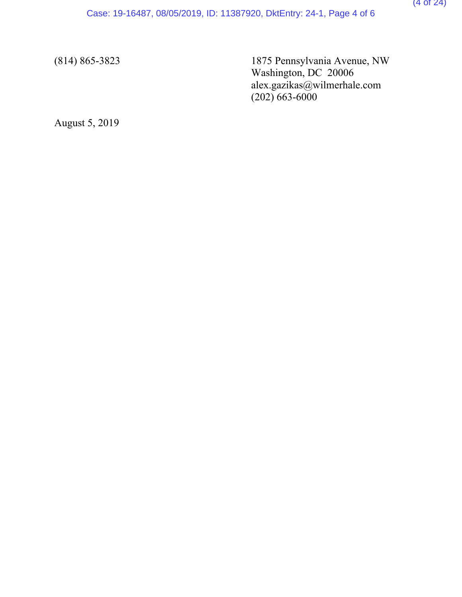(814) 865-3823 1875 Pennsylvania Avenue, NW Washington, DC 20006 alex.gazikas@wilmerhale.com  $(202)$  663-6000

August 5, 2019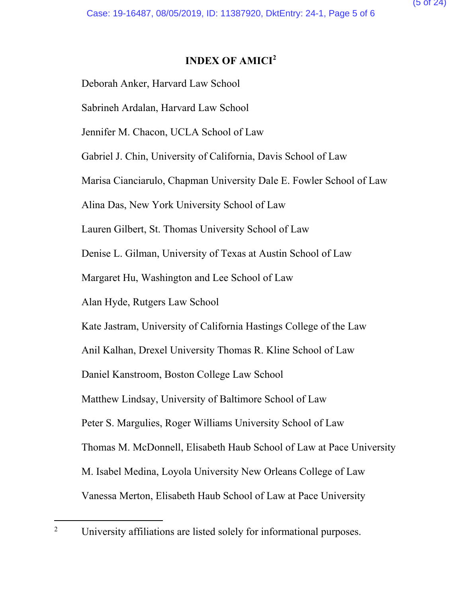## **INDEX OF AMICI<sup>2</sup>**

Deborah Anker, Harvard Law School

Sabrineh Ardalan, Harvard Law School

Jennifer M. Chacon, UCLA School of Law

Gabriel J. Chin, University of California, Davis School of Law

Marisa Cianciarulo, Chapman University Dale E. Fowler School of Law

Alina Das, New York University School of Law

Lauren Gilbert, St. Thomas University School of Law

Denise L. Gilman, University of Texas at Austin School of Law

Margaret Hu, Washington and Lee School of Law

Alan Hyde, Rutgers Law School

Kate Jastram, University of California Hastings College of the Law

Anil Kalhan, Drexel University Thomas R. Kline School of Law

Daniel Kanstroom, Boston College Law School

Matthew Lindsay, University of Baltimore School of Law

Peter S. Margulies, Roger Williams University School of Law

Thomas M. McDonnell, Elisabeth Haub School of Law at Pace University

M. Isabel Medina, Loyola University New Orleans College of Law

Vanessa Merton, Elisabeth Haub School of Law at Pace University

 $\overline{a}$ 2 University affiliations are listed solely for informational purposes.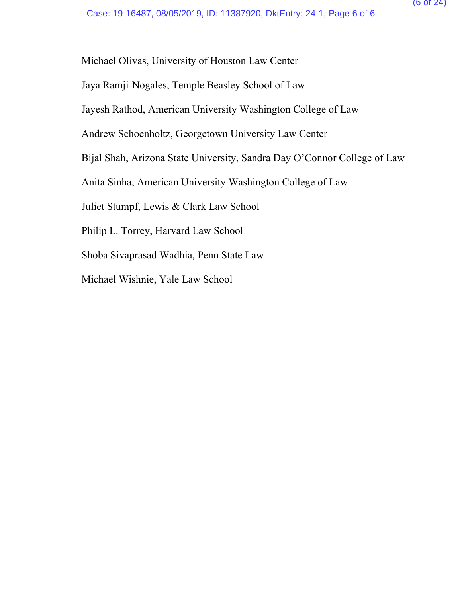Michael Olivas, University of Houston Law Center

Jaya Ramji-Nogales, Temple Beasley School of Law

Jayesh Rathod, American University Washington College of Law

Andrew Schoenholtz, Georgetown University Law Center

Bijal Shah, Arizona State University, Sandra Day O'Connor College of Law

Anita Sinha, American University Washington College of Law

Juliet Stumpf, Lewis & Clark Law School

Philip L. Torrey, Harvard Law School

Shoba Sivaprasad Wadhia, Penn State Law

Michael Wishnie, Yale Law School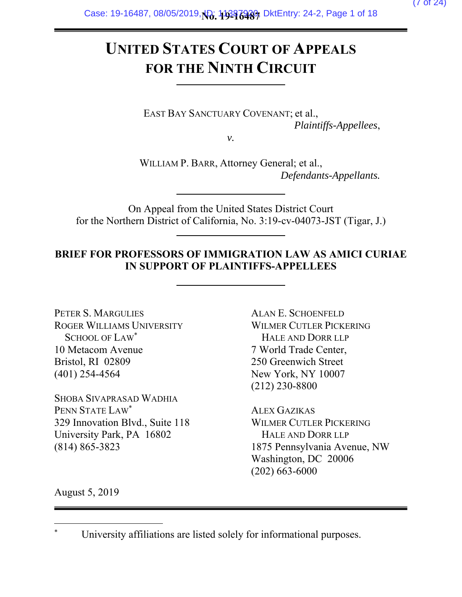# **UNITED STATES COURT OF APPEALS FOR THE NINTH CIRCUIT**

EAST BAY SANCTUARY COVENANT; et al., *Plaintiffs-Appellees*,

*v.* 

WILLIAM P. BARR, Attorney General; et al., *Defendants-Appellants.* 

On Appeal from the United States District Court for the Northern District of California, No. 3:19-cv-04073-JST (Tigar, J.)

### **BRIEF FOR PROFESSORS OF IMMIGRATION LAW AS AMICI CURIAE IN SUPPORT OF PLAINTIFFS-APPELLEES**

PETER S. MARGULIES ROGER WILLIAMS UNIVERSITY SCHOOL OF LAW\* 10 Metacom Avenue Bristol, RI 02809 (401) 254-4564

SHOBA SIVAPRASAD WADHIA PENN STATE LAW\* 329 Innovation Blvd., Suite 118 University Park, PA 16802 (814) 865-3823

ALAN E. SCHOENFELD WILMER CUTLER PICKERING HALE AND DORR LLP 7 World Trade Center, 250 Greenwich Street New York, NY 10007 (212) 230-8800

ALEX GAZIKAS WILMER CUTLER PICKERING HALE AND DORR LLP 1875 Pennsylvania Avenue, NW Washington, DC 20006 (202) 663-6000

August 5, 2019

<sup>\*</sup> University affiliations are listed solely for informational purposes.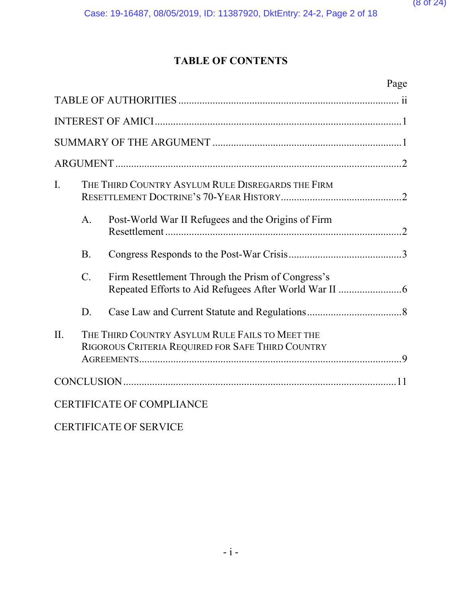# **TABLE OF CONTENTS**

|         |                 | Page                                                                                                 |  |
|---------|-----------------|------------------------------------------------------------------------------------------------------|--|
|         |                 |                                                                                                      |  |
|         |                 |                                                                                                      |  |
|         |                 |                                                                                                      |  |
|         |                 |                                                                                                      |  |
| I.      |                 | THE THIRD COUNTRY ASYLUM RULE DISREGARDS THE FIRM                                                    |  |
|         | A.              | Post-World War II Refugees and the Origins of Firm                                                   |  |
|         | <b>B.</b>       |                                                                                                      |  |
|         | $\mathcal{C}$ . | Firm Resettlement Through the Prism of Congress's                                                    |  |
|         | D.              |                                                                                                      |  |
| $\Pi$ . |                 | THE THIRD COUNTRY ASYLUM RULE FAILS TO MEET THE<br>RIGOROUS CRITERIA REQUIRED FOR SAFE THIRD COUNTRY |  |
|         |                 |                                                                                                      |  |
|         |                 | <b>CERTIFICATE OF COMPLIANCE</b>                                                                     |  |

CERTIFICATE OF SERVICE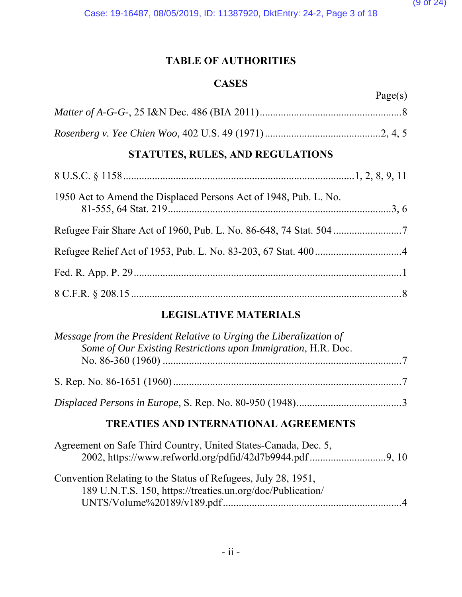## **TABLE OF AUTHORITIES**

#### **CASES**

| Page(s) |
|---------|
|         |
|         |

# **STATUTES, RULES, AND REGULATIONS**

| 1950 Act to Amend the Displaced Persons Act of 1948, Pub. L. No. |  |
|------------------------------------------------------------------|--|
|                                                                  |  |
|                                                                  |  |
|                                                                  |  |
|                                                                  |  |

## **LEGISLATIVE MATERIALS**

| Message from the President Relative to Urging the Liberalization of<br>Some of Our Existing Restrictions upon Immigration, H.R. Doc. |  |
|--------------------------------------------------------------------------------------------------------------------------------------|--|
|                                                                                                                                      |  |
|                                                                                                                                      |  |
| <b>TREATIES AND INTERNATIONAL AGREEMENTS</b>                                                                                         |  |
| Agreement on Safe Third Country, United States-Canada, Dec. 5,<br>2002, https://www.refworld.org/pdfid/42d7b9944.pdf 9, 10           |  |
| Convention Relating to the Status of Refugees, July 28, 1951,<br>189 U.N.T.S. 150, https://treaties.un.org/doc/Publication/          |  |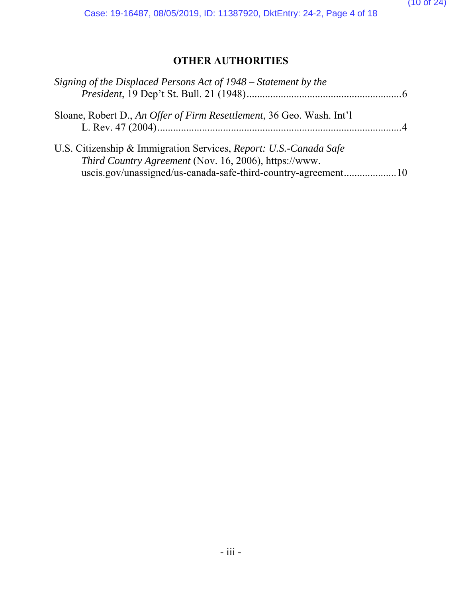# **OTHER AUTHORITIES**

| Signing of the Displaced Persons Act of 1948 – Statement by the                                                                                                                             |  |
|---------------------------------------------------------------------------------------------------------------------------------------------------------------------------------------------|--|
| Sloane, Robert D., An Offer of Firm Resettlement, 36 Geo. Wash. Int'l                                                                                                                       |  |
| U.S. Citizenship & Immigration Services, Report: U.S.-Canada Safe<br>Third Country Agreement (Nov. 16, 2006), https://www.<br>uscis.gov/unassigned/us-canada-safe-third-country-agreement10 |  |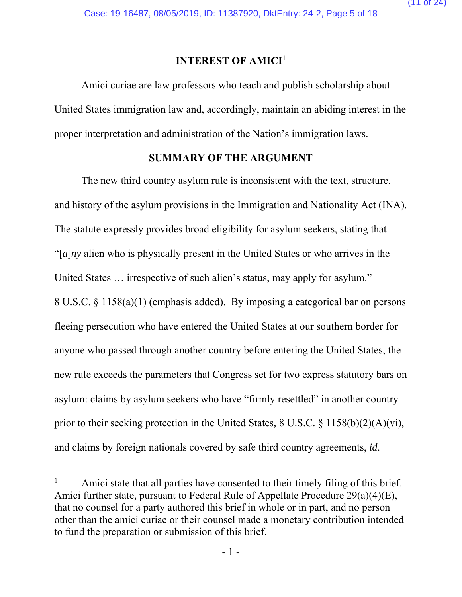#### **INTEREST OF AMICI**<sup>1</sup>

Amici curiae are law professors who teach and publish scholarship about United States immigration law and, accordingly, maintain an abiding interest in the proper interpretation and administration of the Nation's immigration laws.

#### **SUMMARY OF THE ARGUMENT**

The new third country asylum rule is inconsistent with the text, structure, and history of the asylum provisions in the Immigration and Nationality Act (INA). The statute expressly provides broad eligibility for asylum seekers, stating that "[*a*]*ny* alien who is physically present in the United States or who arrives in the United States … irrespective of such alien's status, may apply for asylum." 8 U.S.C. § 1158(a)(1) (emphasis added). By imposing a categorical bar on persons fleeing persecution who have entered the United States at our southern border for anyone who passed through another country before entering the United States, the new rule exceeds the parameters that Congress set for two express statutory bars on asylum: claims by asylum seekers who have "firmly resettled" in another country prior to their seeking protection in the United States, 8 U.S.C. § 1158(b)(2)(A)(vi), and claims by foreign nationals covered by safe third country agreements, *id*.

-

<sup>1</sup> Amici state that all parties have consented to their timely filing of this brief. Amici further state, pursuant to Federal Rule of Appellate Procedure 29(a)(4)(E), that no counsel for a party authored this brief in whole or in part, and no person other than the amici curiae or their counsel made a monetary contribution intended to fund the preparation or submission of this brief.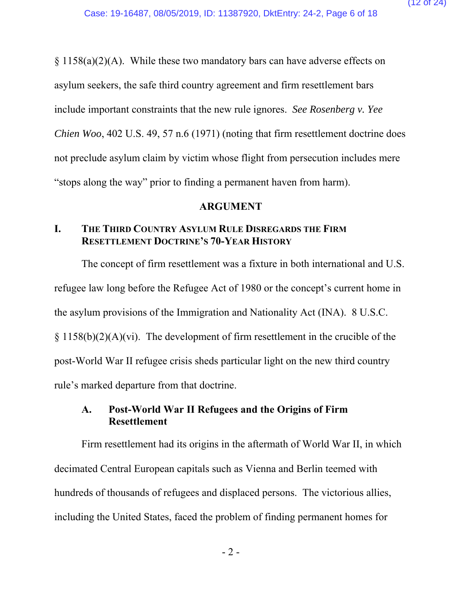$\S 1158(a)(2)(A)$ . While these two mandatory bars can have adverse effects on asylum seekers, the safe third country agreement and firm resettlement bars include important constraints that the new rule ignores. *See Rosenberg v. Yee Chien Woo*, 402 U.S. 49, 57 n.6 (1971) (noting that firm resettlement doctrine does not preclude asylum claim by victim whose flight from persecution includes mere "stops along the way" prior to finding a permanent haven from harm).

#### **ARGUMENT**

#### **I. THE THIRD COUNTRY ASYLUM RULE DISREGARDS THE FIRM RESETTLEMENT DOCTRINE'S 70-YEAR HISTORY**

The concept of firm resettlement was a fixture in both international and U.S. refugee law long before the Refugee Act of 1980 or the concept's current home in the asylum provisions of the Immigration and Nationality Act (INA). 8 U.S.C.  $\S 1158(b)(2)(A)(vi)$ . The development of firm resettlement in the crucible of the post-World War II refugee crisis sheds particular light on the new third country rule's marked departure from that doctrine.

#### **A. Post-World War II Refugees and the Origins of Firm Resettlement**

Firm resettlement had its origins in the aftermath of World War II, in which decimated Central European capitals such as Vienna and Berlin teemed with hundreds of thousands of refugees and displaced persons. The victorious allies, including the United States, faced the problem of finding permanent homes for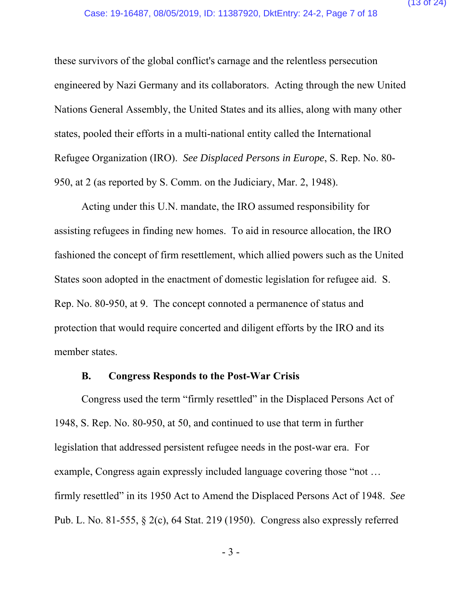these survivors of the global conflict's carnage and the relentless persecution engineered by Nazi Germany and its collaborators. Acting through the new United Nations General Assembly, the United States and its allies, along with many other states, pooled their efforts in a multi-national entity called the International Refugee Organization (IRO). *See Displaced Persons in Europe*, S. Rep. No. 80- 950, at 2 (as reported by S. Comm. on the Judiciary, Mar. 2, 1948).

Acting under this U.N. mandate, the IRO assumed responsibility for assisting refugees in finding new homes. To aid in resource allocation, the IRO fashioned the concept of firm resettlement, which allied powers such as the United States soon adopted in the enactment of domestic legislation for refugee aid. S. Rep. No. 80-950, at 9. The concept connoted a permanence of status and protection that would require concerted and diligent efforts by the IRO and its member states.

#### **B. Congress Responds to the Post-War Crisis**

Congress used the term "firmly resettled" in the Displaced Persons Act of 1948, S. Rep. No. 80-950, at 50, and continued to use that term in further legislation that addressed persistent refugee needs in the post-war era. For example, Congress again expressly included language covering those "not … firmly resettled" in its 1950 Act to Amend the Displaced Persons Act of 1948. *See*  Pub. L. No. 81-555, § 2(c), 64 Stat. 219 (1950). Congress also expressly referred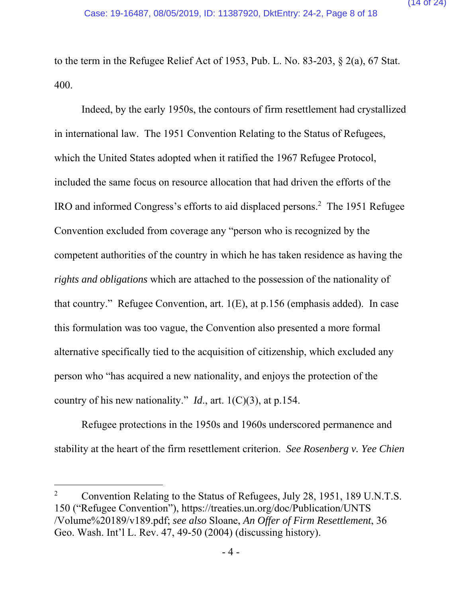to the term in the Refugee Relief Act of 1953, Pub. L. No. 83-203, § 2(a), 67 Stat. 400.

Indeed, by the early 1950s, the contours of firm resettlement had crystallized in international law. The 1951 Convention Relating to the Status of Refugees, which the United States adopted when it ratified the 1967 Refugee Protocol, included the same focus on resource allocation that had driven the efforts of the IRO and informed Congress's efforts to aid displaced persons.2 The 1951 Refugee Convention excluded from coverage any "person who is recognized by the competent authorities of the country in which he has taken residence as having the *rights and obligations* which are attached to the possession of the nationality of that country." Refugee Convention, art. 1(E), at p.156 (emphasis added). In case this formulation was too vague, the Convention also presented a more formal alternative specifically tied to the acquisition of citizenship, which excluded any person who "has acquired a new nationality, and enjoys the protection of the country of his new nationality." *Id*., art. 1(C)(3), at p.154.

Refugee protections in the 1950s and 1960s underscored permanence and stability at the heart of the firm resettlement criterion. *See Rosenberg v. Yee Chien* 

<sup>2</sup> Convention Relating to the Status of Refugees, July 28, 1951, 189 U.N.T.S. 150 ("Refugee Convention"), https://treaties.un.org/doc/Publication/UNTS /Volume%20189/v189.pdf; *see also* Sloane, *An Offer of Firm Resettlement*, 36 Geo. Wash. Int'l L. Rev. 47, 49-50 (2004) (discussing history).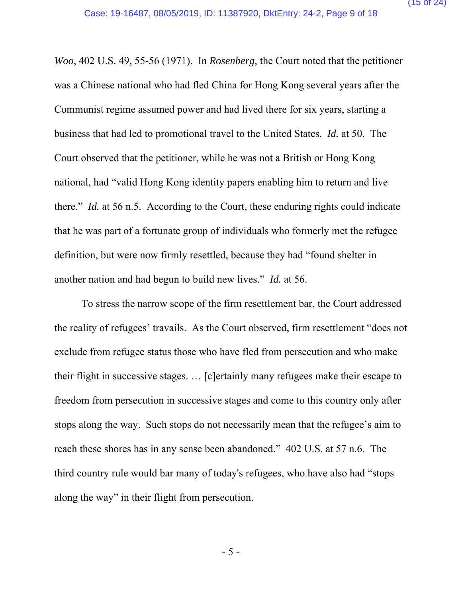*Woo*, 402 U.S. 49, 55-56 (1971). In *Rosenberg*, the Court noted that the petitioner was a Chinese national who had fled China for Hong Kong several years after the Communist regime assumed power and had lived there for six years, starting a business that had led to promotional travel to the United States. *Id.* at 50. The Court observed that the petitioner, while he was not a British or Hong Kong national, had "valid Hong Kong identity papers enabling him to return and live there." *Id.* at 56 n.5. According to the Court, these enduring rights could indicate that he was part of a fortunate group of individuals who formerly met the refugee definition, but were now firmly resettled, because they had "found shelter in another nation and had begun to build new lives." *Id.* at 56.

To stress the narrow scope of the firm resettlement bar, the Court addressed the reality of refugees' travails. As the Court observed, firm resettlement "does not exclude from refugee status those who have fled from persecution and who make their flight in successive stages. … [c]ertainly many refugees make their escape to freedom from persecution in successive stages and come to this country only after stops along the way. Such stops do not necessarily mean that the refugee's aim to reach these shores has in any sense been abandoned." 402 U.S. at 57 n.6. The third country rule would bar many of today's refugees, who have also had "stops along the way" in their flight from persecution.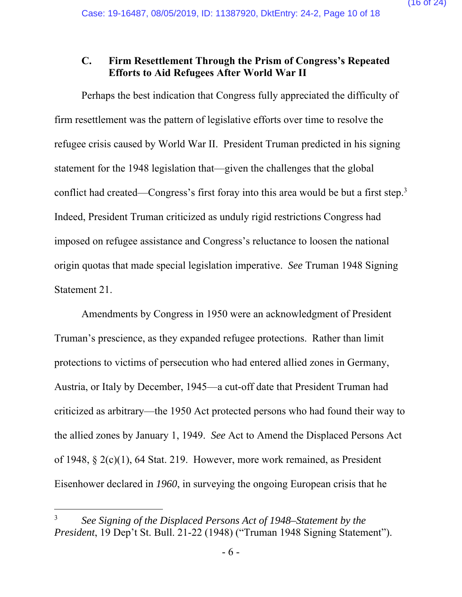#### **C. Firm Resettlement Through the Prism of Congress's Repeated Efforts to Aid Refugees After World War II**

Perhaps the best indication that Congress fully appreciated the difficulty of firm resettlement was the pattern of legislative efforts over time to resolve the refugee crisis caused by World War II. President Truman predicted in his signing statement for the 1948 legislation that—given the challenges that the global conflict had created—Congress's first foray into this area would be but a first step.<sup>3</sup> Indeed, President Truman criticized as unduly rigid restrictions Congress had imposed on refugee assistance and Congress's reluctance to loosen the national origin quotas that made special legislation imperative. *See* Truman 1948 Signing Statement 21.

Amendments by Congress in 1950 were an acknowledgment of President Truman's prescience, as they expanded refugee protections. Rather than limit protections to victims of persecution who had entered allied zones in Germany, Austria, or Italy by December, 1945—a cut-off date that President Truman had criticized as arbitrary—the 1950 Act protected persons who had found their way to the allied zones by January 1, 1949. *See* Act to Amend the Displaced Persons Act of 1948, § 2(c)(1), 64 Stat. 219. However, more work remained, as President Eisenhower declared in *1960*, in surveying the ongoing European crisis that he

<sup>3</sup> *See Signing of the Displaced Persons Act of 1948–Statement by the President*, 19 Dep't St. Bull. 21-22 (1948) ("Truman 1948 Signing Statement").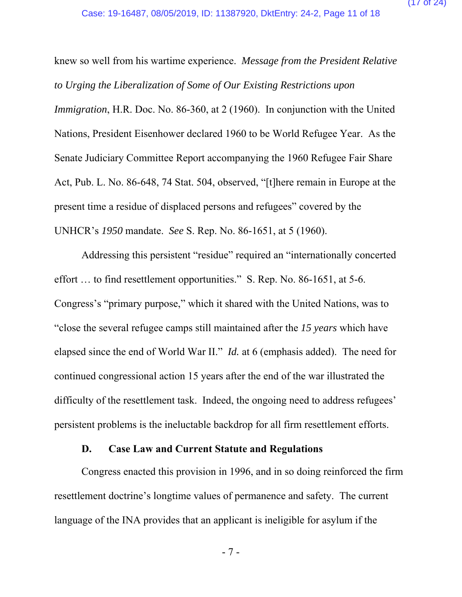knew so well from his wartime experience. *Message from the President Relative to Urging the Liberalization of Some of Our Existing Restrictions upon Immigration*, H.R. Doc. No. 86-360, at 2 (1960). In conjunction with the United Nations, President Eisenhower declared 1960 to be World Refugee Year. As the Senate Judiciary Committee Report accompanying the 1960 Refugee Fair Share Act, Pub. L. No. 86-648, 74 Stat. 504, observed, "[t]here remain in Europe at the present time a residue of displaced persons and refugees" covered by the UNHCR's *1950* mandate. *See* S. Rep. No. 86-1651, at 5 (1960).

Addressing this persistent "residue" required an "internationally concerted effort … to find resettlement opportunities." S. Rep. No. 86-1651, at 5-6. Congress's "primary purpose," which it shared with the United Nations, was to "close the several refugee camps still maintained after the *15 years* which have elapsed since the end of World War II." *Id.* at 6 (emphasis added). The need for continued congressional action 15 years after the end of the war illustrated the difficulty of the resettlement task. Indeed, the ongoing need to address refugees' persistent problems is the ineluctable backdrop for all firm resettlement efforts.

#### **D. Case Law and Current Statute and Regulations**

Congress enacted this provision in 1996, and in so doing reinforced the firm resettlement doctrine's longtime values of permanence and safety. The current language of the INA provides that an applicant is ineligible for asylum if the

- 7 -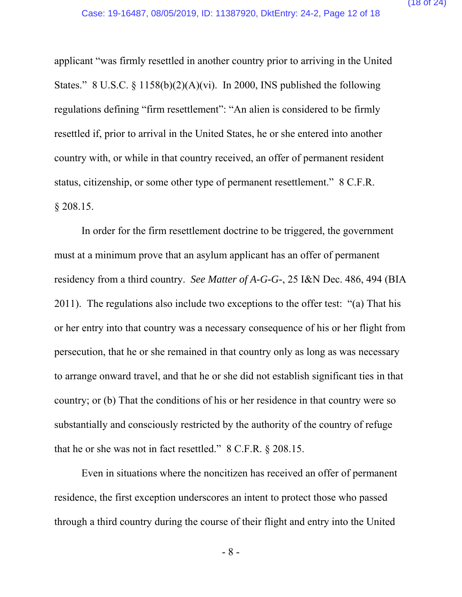applicant "was firmly resettled in another country prior to arriving in the United States." 8 U.S.C. § 1158(b)(2)(A)(vi). In 2000, INS published the following regulations defining "firm resettlement": "An alien is considered to be firmly resettled if, prior to arrival in the United States, he or she entered into another country with, or while in that country received, an offer of permanent resident status, citizenship, or some other type of permanent resettlement." 8 C.F.R. § 208.15.

In order for the firm resettlement doctrine to be triggered, the government must at a minimum prove that an asylum applicant has an offer of permanent residency from a third country. *See Matter of A-G-G-*, 25 I&N Dec. 486, 494 (BIA 2011). The regulations also include two exceptions to the offer test: "(a) That his or her entry into that country was a necessary consequence of his or her flight from persecution, that he or she remained in that country only as long as was necessary to arrange onward travel, and that he or she did not establish significant ties in that country; or (b) That the conditions of his or her residence in that country were so substantially and consciously restricted by the authority of the country of refuge that he or she was not in fact resettled." 8 C.F.R. § 208.15.

Even in situations where the noncitizen has received an offer of permanent residence, the first exception underscores an intent to protect those who passed through a third country during the course of their flight and entry into the United

- 8 -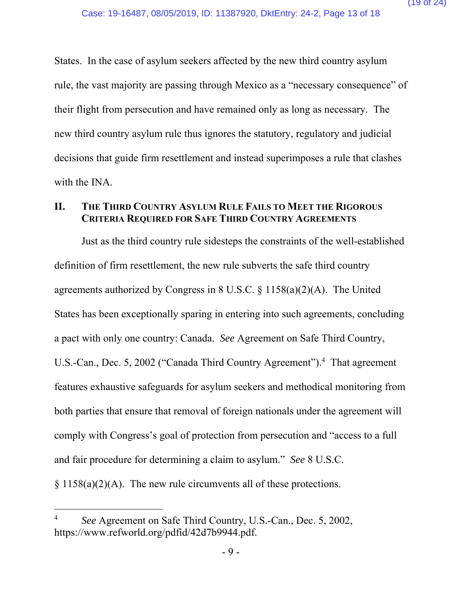States. In the case of asylum seekers affected by the new third country asylum rule, the vast majority are passing through Mexico as a "necessary consequence" of their flight from persecution and have remained only as long as necessary. The new third country asylum rule thus ignores the statutory, regulatory and judicial decisions that guide firm resettlement and instead superimposes a rule that clashes with the INA.

#### **II. THE THIRD COUNTRY ASYLUM RULE FAILS TO MEET THE RIGOROUS CRITERIA REQUIRED FOR SAFE THIRD COUNTRY AGREEMENTS**

Just as the third country rule sidesteps the constraints of the well-established definition of firm resettlement, the new rule subverts the safe third country agreements authorized by Congress in 8 U.S.C. § 1158(a)(2)(A). The United States has been exceptionally sparing in entering into such agreements, concluding a pact with only one country: Canada. *See* Agreement on Safe Third Country, U.S.-Can., Dec. 5, 2002 ("Canada Third Country Agreement").<sup>4</sup> That agreement features exhaustive safeguards for asylum seekers and methodical monitoring from both parties that ensure that removal of foreign nationals under the agreement will comply with Congress's goal of protection from persecution and "access to a full and fair procedure for determining a claim to asylum." *See* 8 U.S.C.  $§ 1158(a)(2)(A)$ . The new rule circumvents all of these protections.

<sup>4</sup> *See* Agreement on Safe Third Country, U.S.-Can., Dec. 5, 2002, https://www.refworld.org/pdfid/42d7b9944.pdf.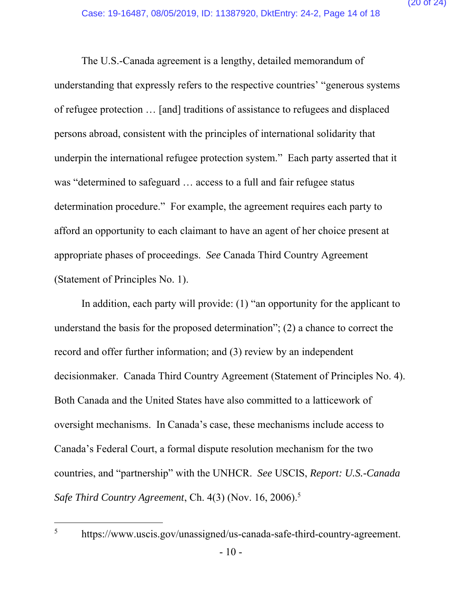The U.S.-Canada agreement is a lengthy, detailed memorandum of understanding that expressly refers to the respective countries' "generous systems of refugee protection … [and] traditions of assistance to refugees and displaced persons abroad, consistent with the principles of international solidarity that underpin the international refugee protection system." Each party asserted that it was "determined to safeguard … access to a full and fair refugee status determination procedure." For example, the agreement requires each party to afford an opportunity to each claimant to have an agent of her choice present at appropriate phases of proceedings. *See* Canada Third Country Agreement (Statement of Principles No. 1).

In addition, each party will provide: (1) "an opportunity for the applicant to understand the basis for the proposed determination"; (2) a chance to correct the record and offer further information; and (3) review by an independent decisionmaker. Canada Third Country Agreement (Statement of Principles No. 4). Both Canada and the United States have also committed to a latticework of oversight mechanisms. In Canada's case, these mechanisms include access to Canada's Federal Court, a formal dispute resolution mechanism for the two countries, and "partnership" with the UNHCR. *See* USCIS, *Report: U.S.-Canada Safe Third Country Agreement*, Ch. 4(3) (Nov. 16, 2006).5

-5

https://www.uscis.gov/unassigned/us-canada-safe-third-country-agreement.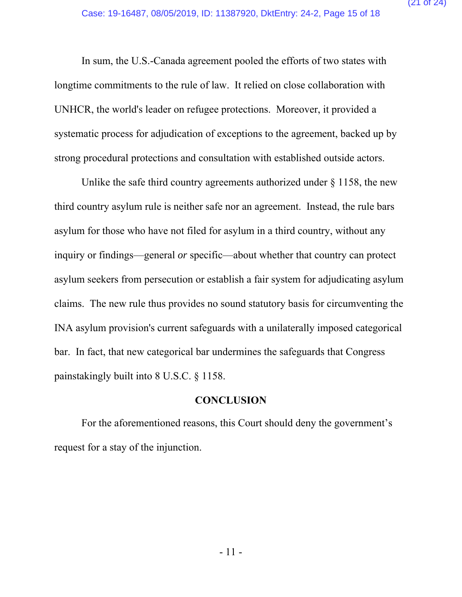In sum, the U.S.-Canada agreement pooled the efforts of two states with longtime commitments to the rule of law. It relied on close collaboration with UNHCR, the world's leader on refugee protections. Moreover, it provided a systematic process for adjudication of exceptions to the agreement, backed up by strong procedural protections and consultation with established outside actors.

Unlike the safe third country agreements authorized under  $\S$  1158, the new third country asylum rule is neither safe nor an agreement. Instead, the rule bars asylum for those who have not filed for asylum in a third country, without any inquiry or findings—general *or* specific—about whether that country can protect asylum seekers from persecution or establish a fair system for adjudicating asylum claims. The new rule thus provides no sound statutory basis for circumventing the INA asylum provision's current safeguards with a unilaterally imposed categorical bar. In fact, that new categorical bar undermines the safeguards that Congress painstakingly built into 8 U.S.C. § 1158.

#### **CONCLUSION**

For the aforementioned reasons, this Court should deny the government's request for a stay of the injunction.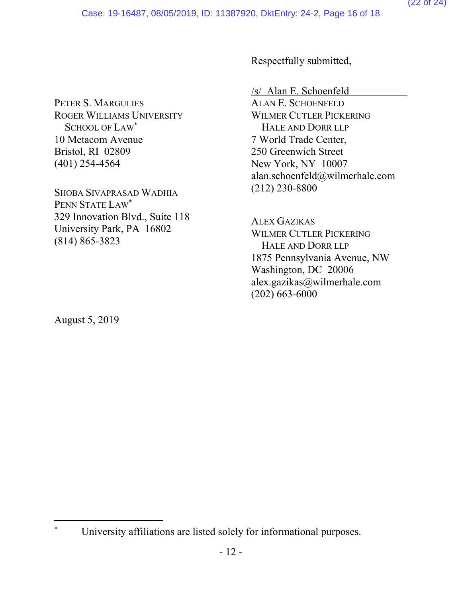PETER S. MARGULIES ROGER WILLIAMS UNIVERSITY SCHOOL OF LAW<sup>\*</sup> 10 Metacom Avenue Bristol, RI 02809 (401) 254-4564

SHOBA SIVAPRASAD WADHIA PENN STATE LAW\* 329 Innovation Blvd., Suite 118 University Park, PA 16802 (814) 865-3823

Respectfully submitted,

/s/ Alan E. Schoenfeld

ALAN E. SCHOENFELD WILMER CUTLER PICKERING HALE AND DORR LLP 7 World Trade Center, 250 Greenwich Street New York, NY 10007 alan.schoenfeld@wilmerhale.com (212) 230-8800

ALEX GAZIKAS WILMER CUTLER PICKERING HALE AND DORR LLP 1875 Pennsylvania Avenue, NW Washington, DC 20006 alex.gazikas@wilmerhale.com (202) 663-6000

August 5, 2019

<sup>\*</sup> University affiliations are listed solely for informational purposes.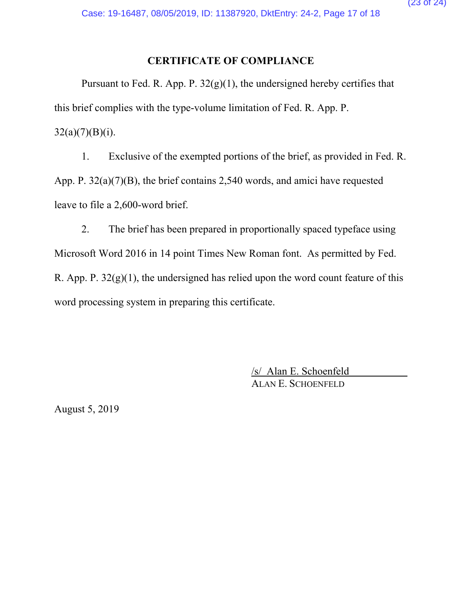### **CERTIFICATE OF COMPLIANCE**

Pursuant to Fed. R. App. P.  $32(g)(1)$ , the undersigned hereby certifies that this brief complies with the type-volume limitation of Fed. R. App. P.  $32(a)(7)(B)(i)$ .

1. Exclusive of the exempted portions of the brief, as provided in Fed. R. App. P. 32(a)(7)(B), the brief contains 2,540 words, and amici have requested leave to file a 2,600-word brief.

2. The brief has been prepared in proportionally spaced typeface using Microsoft Word 2016 in 14 point Times New Roman font. As permitted by Fed. R. App. P.  $32(g)(1)$ , the undersigned has relied upon the word count feature of this word processing system in preparing this certificate.

> /s/ Alan E. Schoenfeld ALAN E. SCHOENFELD

August 5, 2019